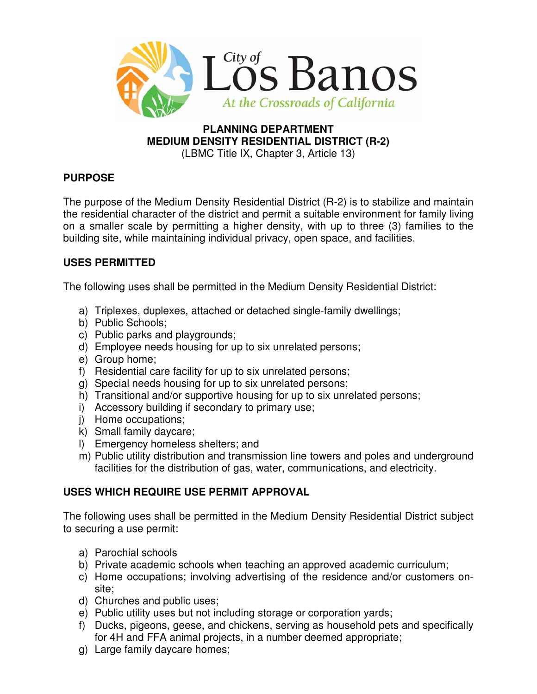

#### **PLANNING DEPARTMENT MEDIUM DENSITY RESIDENTIAL DISTRICT (R-2)**  (LBMC Title IX, Chapter 3, Article 13)

# **PURPOSE**

The purpose of the Medium Density Residential District (R-2) is to stabilize and maintain the residential character of the district and permit a suitable environment for family living on a smaller scale by permitting a higher density, with up to three (3) families to the building site, while maintaining individual privacy, open space, and facilities.

# **USES PERMITTED**

The following uses shall be permitted in the Medium Density Residential District:

- a) Triplexes, duplexes, attached or detached single-family dwellings;
- b) Public Schools;
- c) Public parks and playgrounds;
- d) Employee needs housing for up to six unrelated persons;
- e) Group home;
- f) Residential care facility for up to six unrelated persons;
- g) Special needs housing for up to six unrelated persons;
- h) Transitional and/or supportive housing for up to six unrelated persons;
- i) Accessory building if secondary to primary use;
- j) Home occupations;
- k) Small family daycare;
- l) Emergency homeless shelters; and
- m) Public utility distribution and transmission line towers and poles and underground facilities for the distribution of gas, water, communications, and electricity.

## **USES WHICH REQUIRE USE PERMIT APPROVAL**

The following uses shall be permitted in the Medium Density Residential District subject to securing a use permit:

- a) Parochial schools
- b) Private academic schools when teaching an approved academic curriculum;
- c) Home occupations; involving advertising of the residence and/or customers onsite;
- d) Churches and public uses;
- e) Public utility uses but not including storage or corporation yards;
- f) Ducks, pigeons, geese, and chickens, serving as household pets and specifically for 4H and FFA animal projects, in a number deemed appropriate;
- g) Large family daycare homes;